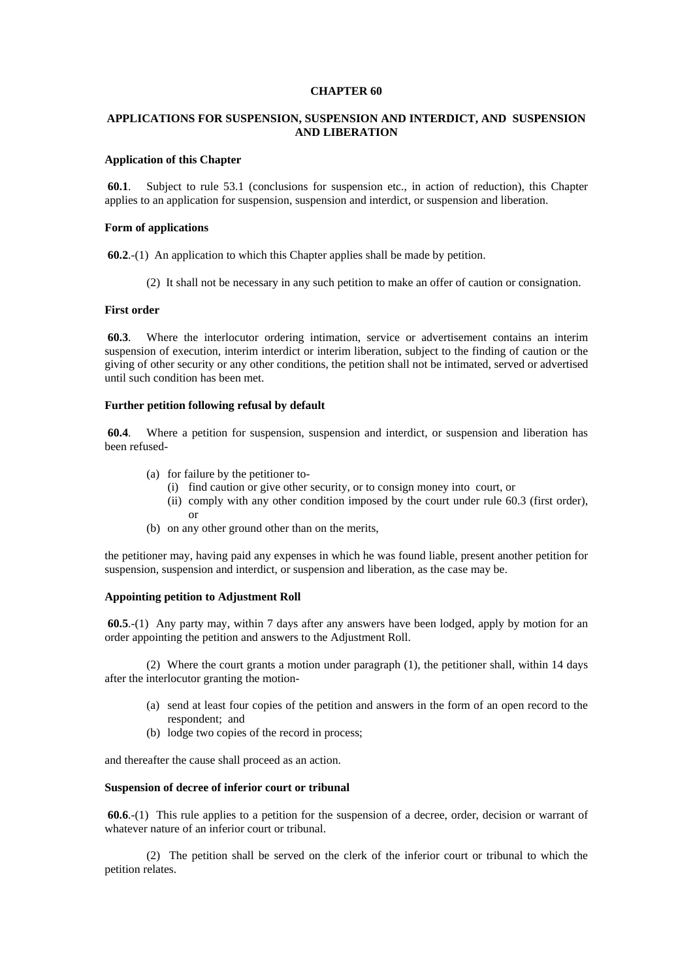### **CHAPTER 60**

# **APPLICATIONS FOR SUSPENSION, SUSPENSION AND INTERDICT, AND SUSPENSION AND LIBERATION**

# **Application of this Chapter**

 **60.1**. Subject to rule 53.1 (conclusions for suspension etc., in action of reduction), this Chapter applies to an application for suspension, suspension and interdict, or suspension and liberation.

### **Form of applications**

 **60.2**.-(1) An application to which this Chapter applies shall be made by petition.

(2) It shall not be necessary in any such petition to make an offer of caution or consignation.

#### **First order**

 **60.3**. Where the interlocutor ordering intimation, service or advertisement contains an interim suspension of execution, interim interdict or interim liberation, subject to the finding of caution or the giving of other security or any other conditions, the petition shall not be intimated, served or advertised until such condition has been met.

## **Further petition following refusal by default**

 **60.4**. Where a petition for suspension, suspension and interdict, or suspension and liberation has been refused-

- (a) for failure by the petitioner to-
	- (i) find caution or give other security, or to consign money into court, or
	- (ii) comply with any other condition imposed by the court under rule 60.3 (first order), or
- (b) on any other ground other than on the merits,

the petitioner may, having paid any expenses in which he was found liable, present another petition for suspension, suspension and interdict, or suspension and liberation, as the case may be.

## **Appointing petition to Adjustment Roll**

 **60.5**.-(1) Any party may, within 7 days after any answers have been lodged, apply by motion for an order appointing the petition and answers to the Adjustment Roll.

 (2) Where the court grants a motion under paragraph (1), the petitioner shall, within 14 days after the interlocutor granting the motion-

- (a) send at least four copies of the petition and answers in the form of an open record to the respondent; and
- (b) lodge two copies of the record in process;

and thereafter the cause shall proceed as an action.

### **Suspension of decree of inferior court or tribunal**

 **60.6**.-(1) This rule applies to a petition for the suspension of a decree, order, decision or warrant of whatever nature of an inferior court or tribunal.

 (2) The petition shall be served on the clerk of the inferior court or tribunal to which the petition relates.